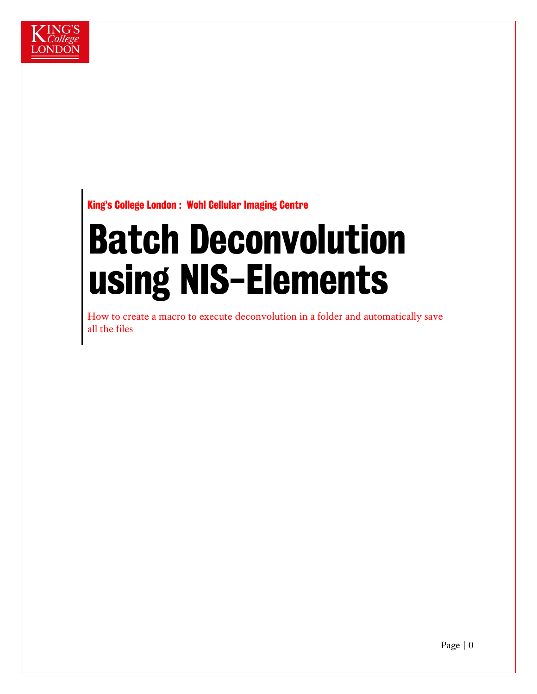

### King's College London : Wohl Cellular Imaging Centre

# Batch Deconvolution using NIS-Elements

How to create a macro to execute deconvolution in a folder and automatically save all the files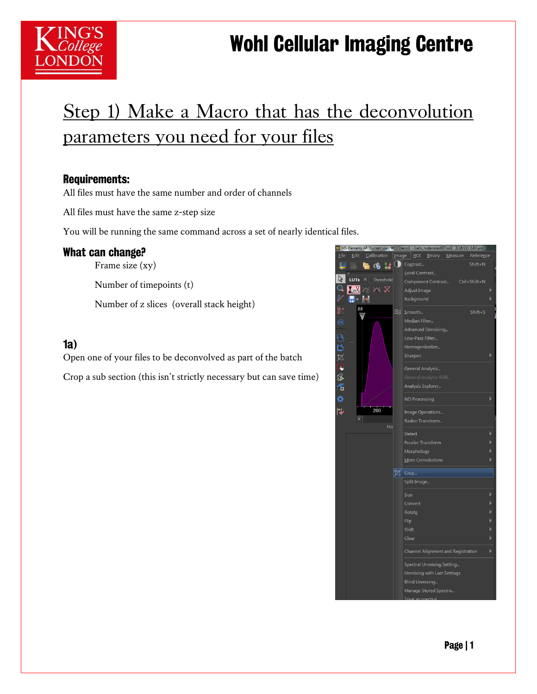### Wohl Cellular Imaging Centre

### Step 1) Make a Macro that has the deconvolution parameters you need for your files

#### Requirements:

All files must have the same number and order of channels

All files must have the same z-step size

You will be running the same command across a set of nearly identical files.

#### What can change?

Frame size (xy)

Number of timepoints (t)

Number of z slices (overall stack height)

#### 1a)

Open one of your files to be deconvolved as part of the batch

Crop a sub section (this isn't strictly necessary but can save time)

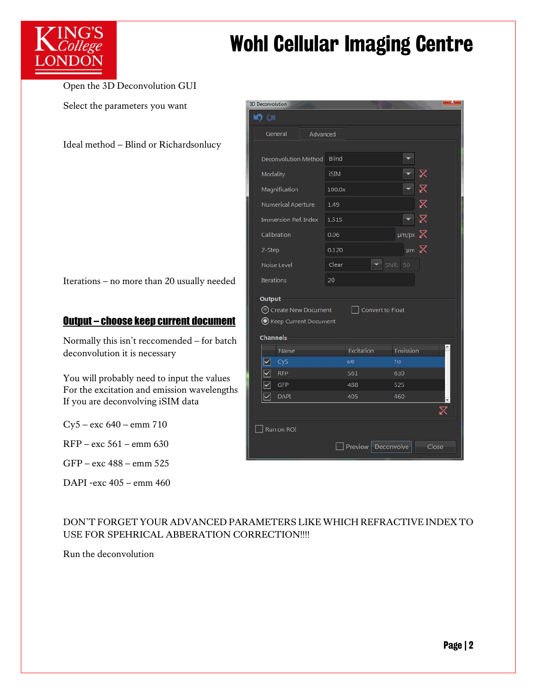

# **K** College **Wohl Cellular Imaging Centre**

Open the 3D Deconvolution GUI Select the parameters you want

Ideal method – Blind or Richardsonlucy

Iterations – no more than 20 usually needed

#### Output – choose keep current document

Normally this isn't reccomended – for batch deconvolution it is necessary

You will probably need to input the values For the excitation and emission wavelengths If you are deconvolving iSIM data

Cy5 – exc 640 – emm 710

RFP – exc 561 – emm 630

GFP – exc 488 – emm 525

DAPI -exc 405 – emm 460

| <b>3D Deconvolution</b>               |             |                    |                           | × |
|---------------------------------------|-------------|--------------------|---------------------------|---|
| <b>DO</b>                             |             |                    |                           |   |
| General<br>Advanced                   |             |                    |                           |   |
|                                       |             |                    |                           |   |
| Deconvolution Method                  | Blind       |                    |                           |   |
| Modality                              | <b>iSIM</b> |                    | X                         |   |
| Magnification                         | 100.0x      |                    |                           |   |
| Numerical Aperture                    | 1.49        |                    | $\boxtimes$               |   |
| Immersion Ref. Index                  | 1.515       |                    | $\boldsymbol{\mathsf{z}}$ |   |
| Calibration                           | 0.06        |                    | $\mu$ m/px $\chi$         |   |
| Z-Step                                | 0.120       |                    | $µm \times$               |   |
| Noise Level                           | Clear       |                    | SNR: 50                   |   |
| <b>Iterations</b>                     | 20          |                    |                           |   |
| Output                                |             |                    |                           |   |
| C Create New Document                 |             | □ Convert to Float |                           |   |
| Reep Current Document                 |             |                    |                           |   |
| Channels                              |             |                    |                           |   |
| Name                                  |             | Excitation         | Emission                  |   |
| ⊠<br>Cy <sub>5</sub>                  |             | 640                | 710                       |   |
| $\overline{\mathbf{z}}$<br><b>RFP</b> |             | 561                | 630                       |   |
| $\overline{\mathbf{X}}$<br>GFP        |             | 488                | 525                       |   |
| $\blacktriangledown$<br>DAPI          |             | 405                | 460                       |   |
|                                       |             |                    | X                         |   |
| Run on ROI                            |             |                    |                           |   |
|                                       |             |                    | Close                     |   |
|                                       |             | Preview Deconvolve |                           |   |

DON'T FORGET YOUR ADVANCED PARAMETERS LIKE WHICH REFRACTIVE INDEX TO USE FOR SPEHRICAL ABBERATION CORRECTION!!!!

Run the deconvolution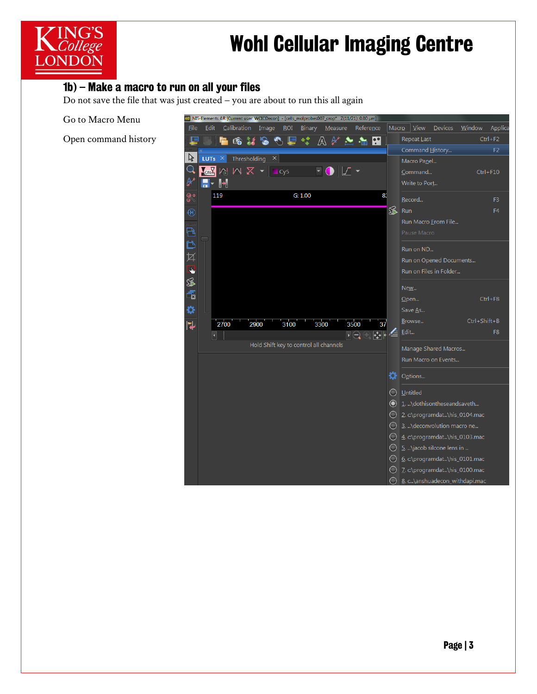

# K College **Wohl Cellular Imaging Centre**

#### 1b) – Make a macro to run on all your files

Do not save the file that was just created – you are about to run this all again

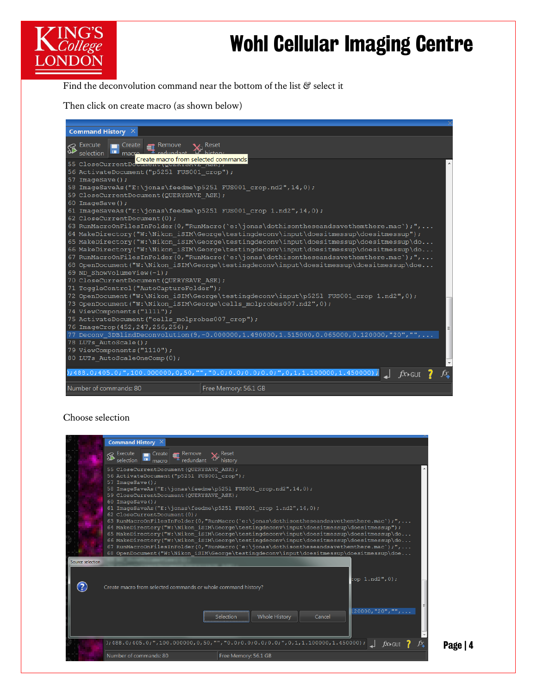# **KING'S<br>KCollege Mohl Cellular Imaging Centre**

Page | 4

Find the deconvolution command near the bottom of the list  $\mathcal C$  select it

Then click on create macro (as shown below)

| Command History $\times$                                                                                                                                                            |                                                                                               |  |  |  |  |  |
|-------------------------------------------------------------------------------------------------------------------------------------------------------------------------------------|-----------------------------------------------------------------------------------------------|--|--|--|--|--|
| Recute<br>Remove<br>∣ Create ∣ ,<br>selection                                                                                                                                       | $\mathbf{\vee}$ Reset                                                                         |  |  |  |  |  |
| Create macro from selected commands<br>55 CloseCurrentDocument (WULKIONVE AON),                                                                                                     |                                                                                               |  |  |  |  |  |
| 56 ActivateDocument ("p5251 FUS001 crop");                                                                                                                                          |                                                                                               |  |  |  |  |  |
| 57 ImageSave();                                                                                                                                                                     |                                                                                               |  |  |  |  |  |
| 58 ImageSaveAs("E:\jonas\feedme\p5251 FUS001 crop.nd2",14,0);                                                                                                                       |                                                                                               |  |  |  |  |  |
| 59 CloseCurrentDocument (QUERYSAVE ASK) ;                                                                                                                                           |                                                                                               |  |  |  |  |  |
| 60 ImageSave();                                                                                                                                                                     |                                                                                               |  |  |  |  |  |
| 61 ImageSaveAs("E:\jonas\feedme\p5251 FUS001 crop 1.nd2",14,0);                                                                                                                     |                                                                                               |  |  |  |  |  |
| 62 CloseCurrentDocument (0);                                                                                                                                                        |                                                                                               |  |  |  |  |  |
|                                                                                                                                                                                     | 63 RunMacroOnFilesInFolder(0, "RunMacro('e:\jonas\dothisontheseandsavethemthere.mac');",      |  |  |  |  |  |
|                                                                                                                                                                                     | 64 MakeDirectory("W:\Nikon iSIM\George\testingdeconv\input\doesitmessup\doesitmessup");       |  |  |  |  |  |
| 65 MakeDirectory("W:\Nikon iSIM\George\testingdeconv\input\doesitmessup\doesitmessup\do                                                                                             |                                                                                               |  |  |  |  |  |
| 66 MakeDirectory("W:\Nikon iSIM\George\testingdeconv\input\doesitmessup\doesitmessup\do                                                                                             |                                                                                               |  |  |  |  |  |
| 67 RunMacroOnFilesInFolder(0, "RunMacro(`e:\jonas\dothisontheseandsavethemthere.mac`);",<br>68 OpenDocument("W:\Nikon iSIM\George\testingdeconv\input\doesitmessup\doesitmessup\doe |                                                                                               |  |  |  |  |  |
| 69 ND ShowVolumeView(-1);                                                                                                                                                           |                                                                                               |  |  |  |  |  |
| 70 CloseCurrentDocument (QUERYSAVE ASK) ;                                                                                                                                           |                                                                                               |  |  |  |  |  |
| 71 ToggleControl ("AutoCaptureFolder");                                                                                                                                             |                                                                                               |  |  |  |  |  |
|                                                                                                                                                                                     | 72 OpenDocument("W:\Nikon iSIM\George\testingdeconv\input\p5251 FUS001 crop 1.nd2",0);        |  |  |  |  |  |
| 73 OpenDocument ("W:\Nikon iSIM\George\cells molprobes007.nd2", 0) ;                                                                                                                |                                                                                               |  |  |  |  |  |
| 74 ViewComponents ("1111");                                                                                                                                                         |                                                                                               |  |  |  |  |  |
| 75 ActivateDocument ("cells molprobes007 crop");                                                                                                                                    |                                                                                               |  |  |  |  |  |
| 76 ImageCrop (452, 247, 256, 256);                                                                                                                                                  |                                                                                               |  |  |  |  |  |
|                                                                                                                                                                                     | 77 Deconv_3DBlindDeconvolution(9,-0.000000,1.490000,1.515000,0.065000,0.120000,"20","",.      |  |  |  |  |  |
| 78 LUTs AutoScale();                                                                                                                                                                |                                                                                               |  |  |  |  |  |
| 79 ViewComponents ("1110");                                                                                                                                                         |                                                                                               |  |  |  |  |  |
| 80 LUTs AutoScaleOneComp(0);                                                                                                                                                        |                                                                                               |  |  |  |  |  |
|                                                                                                                                                                                     | );488.0;405.0;",100.000000,0,50,"","0.0;0.0;0.0;0.0;",0,1,1.100000,1.450000);<br>$f_{X}$ igui |  |  |  |  |  |
| Number of commands: 80                                                                                                                                                              | Free Memory: 56.1 GB                                                                          |  |  |  |  |  |

#### Choose selection

|                       | Command History $\times$                                                                                                                                                                                                                                                                                                                       |                                                                                                                                                                                                                                                                                                                                                                                                                                                                                                                                                                   |
|-----------------------|------------------------------------------------------------------------------------------------------------------------------------------------------------------------------------------------------------------------------------------------------------------------------------------------------------------------------------------------|-------------------------------------------------------------------------------------------------------------------------------------------------------------------------------------------------------------------------------------------------------------------------------------------------------------------------------------------------------------------------------------------------------------------------------------------------------------------------------------------------------------------------------------------------------------------|
|                       | $\mathbb{R}$ Execute<br>$\Box$ Create $\Box$ Remove<br>selection<br>redundant                                                                                                                                                                                                                                                                  | $\mathsf{X}$ Reset<br>history                                                                                                                                                                                                                                                                                                                                                                                                                                                                                                                                     |
|                       | 55 CloseCurrentDocument (QUERYSAVE ASK) ;<br>56 ActivateDocument ("p5251 FUS001 crop");<br>57 ImageSave();<br>58 ImageSaveAs("E:\jonas\feedme\p5251 FUS001 crop.nd2",14,0);<br>59 CloseCurrentDocument (QUERYSAVE ASK) ;<br>60 ImageSave();<br>61 ImageSaveAs("E:\jonas\feedme\p5251 FUS001 crop 1.nd2",14,0);<br>62 CloseCurrentDocument (0); | 63 RunMacroOnFilesInFolder(0, "RunMacro(`e:\jonas\dothisontheseandsavethemthere.mac`);",<br>64 MakeDirectory("W:\Nikon iSIM\George\testingdeconv\input\doesitmessup\doesitmessup");<br>65 MakeDirectory("W:\Nikon iSIM\George\testingdeconv\input\doesitmessup\doesitmessup\do<br>66 MakeDirectory("W:\Nikon iSIM\George\testingdeconv\input\doesitmessup\doesitmessup\do<br>67 RunMacroOnFilesInFolder(0, "RunMacro(`e:\jonas\dothisontheseandsavethemthere.mac`);",<br>.f8 OpenDocument("W:\Nikon iSIM\George\testingdeconv\input\doesitmessup\doesitmessup\doe |
| Source selection<br>2 | Create macro from selected commands or whole command history?                                                                                                                                                                                                                                                                                  | top 1.nd2",0);<br>$120000, "20", "", \ldots$                                                                                                                                                                                                                                                                                                                                                                                                                                                                                                                      |
|                       |                                                                                                                                                                                                                                                                                                                                                | Selection<br>Whole History<br>Cancel<br>$0,1,100000,1.405.0;$ ",100.000000,0,50,"","0.0;0.0;0.0;0.0;",0,1,1.100000,1.450000);<br>$f_{X}$ igui                                                                                                                                                                                                                                                                                                                                                                                                                     |
|                       | Number of commands: 80                                                                                                                                                                                                                                                                                                                         | Free Memory: 56.1 GB                                                                                                                                                                                                                                                                                                                                                                                                                                                                                                                                              |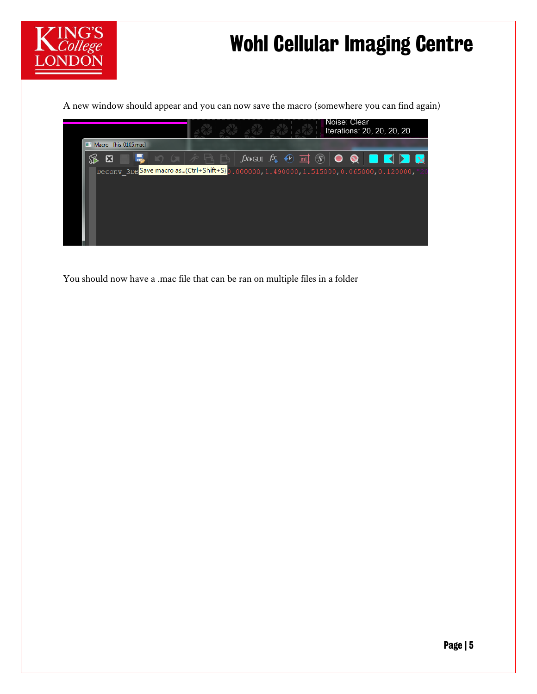

### Wohl Cellular Imaging Centre

A new window should appear and you can now save the macro (somewhere you can find again)



You should now have a .mac file that can be ran on multiple files in a folder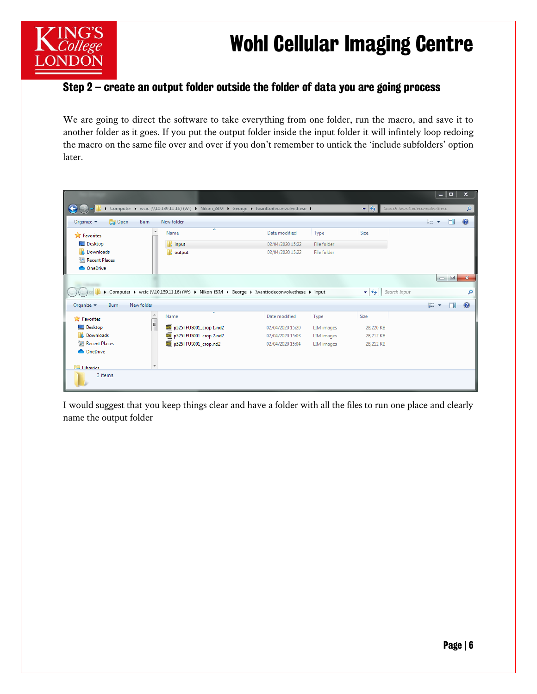## K College **Wohl Cellular Imaging Centre**



### Step 2 – create an output folder outside the folder of data you are going process

We are going to direct the software to take everything from one folder, run the macro, and save it to another folder as it goes. If you put the output folder inside the input folder it will infintely loop redoing the macro on the same file over and over if you don't remember to untick the 'include subfolders' option later.

|                                                        |                                                                                              |                  |                    |                                           | - 0                            | $\boldsymbol{\mathsf{x}}$ |
|--------------------------------------------------------|----------------------------------------------------------------------------------------------|------------------|--------------------|-------------------------------------------|--------------------------------|---------------------------|
|                                                        | Computer ▶ wcic (\\10.139.11.16) (W:) ▶ Nikon_iSIM ▶ George ▶ Iwanttodeconvolvethese ▶       |                  |                    | $\mathbf{v}$ +                            | Search Iwanttodeconvolvethese  | ٩                         |
| <b>D</b> Open<br>Burn<br>Organize $\blacktriangledown$ | New folder                                                                                   |                  |                    |                                           | 胆<br>$\overline{\phantom{a}}$  | $\circledcirc$            |
| ۸<br><b>X</b> Favorites                                | ┻<br>Name                                                                                    | Date modified    | Type               | Size                                      |                                |                           |
| Desktop                                                | input                                                                                        | 02/04/2020 15:22 | File folder        |                                           |                                |                           |
| <b>Downloads</b>                                       | output                                                                                       | 02/04/2020 15:22 | <b>File folder</b> |                                           |                                |                           |
| Recent Places                                          |                                                                                              |                  |                    |                                           |                                |                           |
| <b>ConeDrive</b>                                       |                                                                                              |                  |                    |                                           |                                |                           |
|                                                        |                                                                                              |                  |                    |                                           | $\Box$<br>$\qquad \qquad \Box$ | $\mathbf{x}$              |
|                                                        | Computer ▶ wcic (\\10.139.11.16) (W:) ▶ Nikon_iSIM ▶ George ▶ Iwanttodeconvolvethese ▶ input |                  |                    | Search input<br>$\mathbf{v}$ $\mathbf{t}$ |                                | م                         |
| Organize $\blacktriangledown$<br>New folder<br>Burn    |                                                                                              |                  |                    |                                           | 睚                              |                           |
| $\overline{\phantom{a}}$<br><b>X</b> Favorites         | ×<br>Name                                                                                    | Date modified    | Type               | Size                                      |                                |                           |
| $\equiv$<br>Desktop                                    | p5251 FUS001_crop 1.nd2                                                                      | 02/04/2020 15:20 | <b>LIM</b> images  | 28,220 KB                                 |                                |                           |
| <b>D</b> Downloads                                     | p5251 FUS001_crop 2.nd2                                                                      | 02/04/2020 15:03 | <b>LIM</b> images  | 28,212 KB                                 |                                |                           |
| <b>Recent Places</b>                                   | 09 p5251 FUS001_crop.nd2                                                                     | 02/04/2020 15:04 | <b>LIM</b> images  | 28,212 KB                                 |                                |                           |
| <b>OneDrive</b>                                        |                                                                                              |                  |                    |                                           |                                |                           |
| $\overline{\phantom{a}}$<br><b>Ellibraries</b>         |                                                                                              |                  |                    |                                           |                                |                           |
| 3 items                                                |                                                                                              |                  |                    |                                           |                                |                           |

I would suggest that you keep things clear and have a folder with all the files to run one place and clearly name the output folder